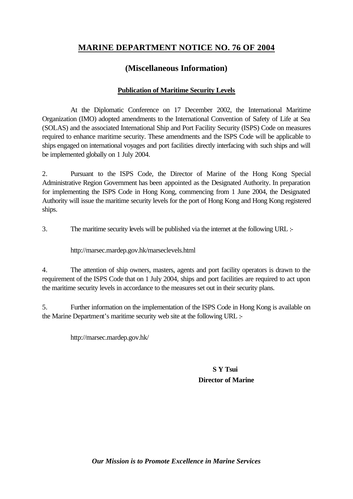## **MARINE DEPARTMENT NOTICE NO. 76 OF 2004**

## **(Miscellaneous Information)**

## **Publication of Maritime Security Levels**

At the Diplomatic Conference on 17 December 2002, the International Maritime Organization (IMO) adopted amendments to the International Convention of Safety of Life at Sea (SOLAS) and the associated International Ship and Port Facility Security (ISPS) Code on measures required to enhance maritime security. These amendments and the ISPS Code will be applicable to ships engaged on international voyages and port facilities directly interfacing with such ships and will be implemented globally on 1 July 2004.

2. Pursuant to the ISPS Code, the Director of Marine of the Hong Kong Special Administrative Region Government has been appointed as the Designated Authority. In preparation for implementing the ISPS Code in Hong Kong, commencing from 1 June 2004, the Designated Authority will issue the maritime security levels for the port of Hong Kong and Hong Kong registered ships.

3. The maritime security levels will be published via the internet at the following URL :-

http://marsec.mardep.gov.hk/marseclevels.html

4. The attention of ship owners, masters, agents and port facility operators is drawn to the requirement of the ISPS Code that on 1 July 2004, ships and port facilities are required to act upon the maritime security levels in accordance to the measures set out in their security plans.

5. Further information on the implementation of the ISPS Code in Hong Kong is available on the Marine Department's maritime security web site at the following URL :-

http://marsec.mardep.gov.hk/

**S Y Tsui Director of Marine**

*Our Mission is to Promote Excellence in Marine Services*